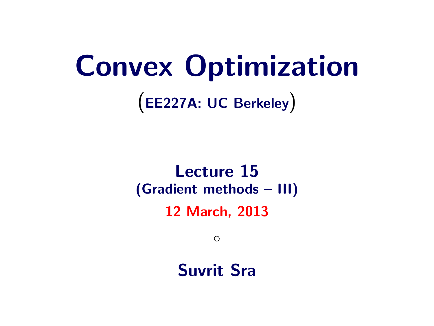# Convex Optimization

(EE227A: UC Berkeley)

## Lecture 15 (Gradient methods – III) 12 March, 2013

Suvrit Sra

 $\circ$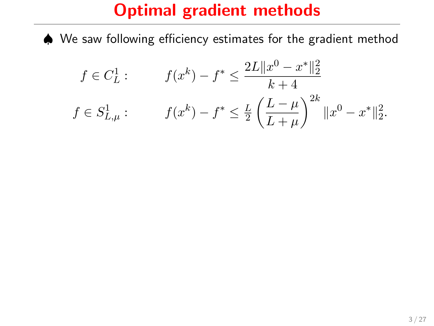♠ We saw following efficiency estimates for the gradient method

$$
f \in C_L^1: \qquad f(x^k) - f^* \le \frac{2L \|x^0 - x^*\|_2^2}{k+4}
$$

$$
f \in S_{L,\mu}^1: \qquad f(x^k) - f^* \le \frac{L}{2} \left(\frac{L-\mu}{L+\mu}\right)^{2k} \|x^0 - x^*\|_2^2.
$$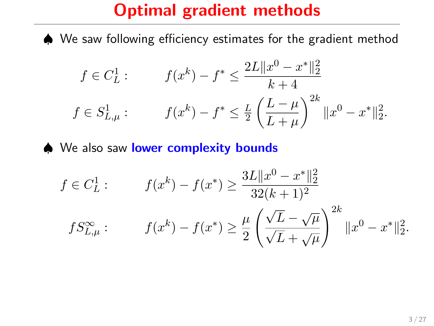♠ We saw following efficiency estimates for the gradient method

$$
f \in C_L^1: \qquad f(x^k) - f^* \le \frac{2L \|x^0 - x^*\|_2^2}{k+4}
$$

$$
f \in S_{L,\mu}^1: \qquad f(x^k) - f^* \le \frac{L}{2} \left(\frac{L-\mu}{L+\mu}\right)^{2k} \|x^0 - x^*\|_2^2.
$$

♦ We also saw lower complexity bounds

$$
f \in C_L^1: \qquad f(x^k) - f(x^*) \ge \frac{3L \|x^0 - x^*\|_2^2}{32(k+1)^2}
$$

$$
fS_{L,\mu}^{\infty}: \qquad f(x^k) - f(x^*) \ge \frac{\mu}{2} \left(\frac{\sqrt{L} - \sqrt{\mu}}{\sqrt{L} + \sqrt{\mu}}\right)^{2k} \|x^0 - x^*\|_2^2.
$$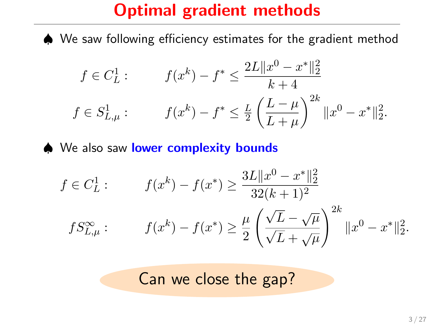♠ We saw following efficiency estimates for the gradient method

$$
f \in C_L^1: \qquad f(x^k) - f^* \le \frac{2L \|x^0 - x^*\|_2^2}{k+4}
$$

$$
f \in S_{L,\mu}^1: \qquad f(x^k) - f^* \le \frac{L}{2} \left(\frac{L-\mu}{L+\mu}\right)^{2k} \|x^0 - x^*\|_2^2.
$$

♦ We also saw lower complexity bounds

$$
f \in C_L^1: \qquad f(x^k) - f(x^*) \ge \frac{3L \|x^0 - x^*\|_2^2}{32(k+1)^2}
$$

$$
fS_{L,\mu}^{\infty}: \qquad f(x^k) - f(x^*) \ge \frac{\mu}{2} \left(\frac{\sqrt{L} - \sqrt{\mu}}{\sqrt{L} + \sqrt{\mu}}\right)^{2k} \|x^0 - x^*\|_2^2.
$$

Can we close the gap?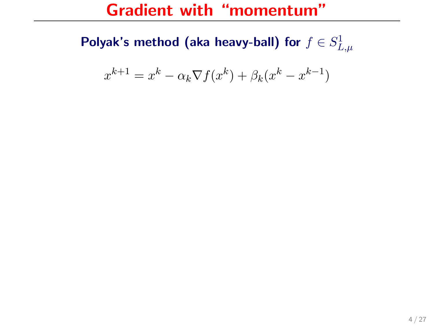#### Gradient with "momentum"

Polyak's method (aka heavy-ball) for  $f\in S_{L,\mu}^1$ 

$$
x^{k+1} = x^k - \alpha_k \nabla f(x^k) + \beta_k (x^k - x^{k-1})
$$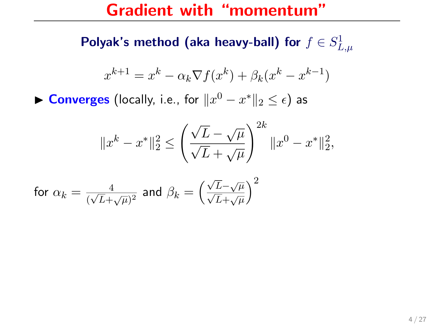#### Gradient with "momentum"

Polyak's method (aka heavy-ball) for  $f\in S_{L,\mu}^1$ 

$$
x^{k+1} = x^k - \alpha_k \nabla f(x^k) + \beta_k (x^k - x^{k-1})
$$

► Converges (locally, i.e., for  $\|x^0 - x^*\|_2 \leq \epsilon$ ) as

$$
||x^{k}-x^*||_2^2 \le \left(\frac{\sqrt{L}-\sqrt{\mu}}{\sqrt{L}+\sqrt{\mu}}\right)^{2k}||x^0-x^*||_2^2,
$$

$$
\text{ for } \alpha_k = \tfrac{4}{(\sqrt{L}+\sqrt{\mu})^2} \text{ and } \beta_k = \left(\tfrac{\sqrt{L}-\sqrt{\mu}}{\sqrt{L}+\sqrt{\mu}}\right)^2
$$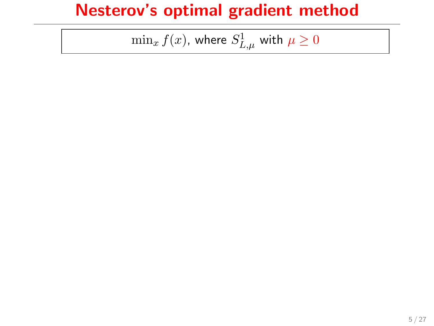$\min_x f(x)$ , where  $S_{L,\mu}^1$  with  $\mu\geq 0$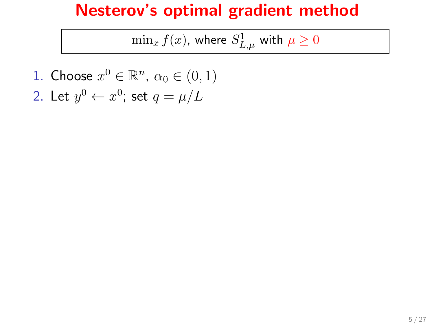$\min_x f(x)$ , where  $S_{L,\mu}^1$  with  $\mu\geq 0$ 

1. Choose  $x^0 \in \mathbb{R}^n$ ,  $\alpha_0 \in (0,1)$ 2. Let  $y^0 \leftarrow x^0$ ; set  $q = \mu/L$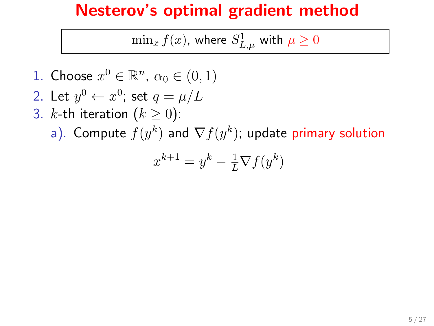$\min_x f(x)$ , where  $S_{L,\mu}^1$  with  $\mu\geq 0$ 

- 1. Choose  $x^0 \in \mathbb{R}^n$ ,  $\alpha_0 \in (0,1)$
- 2. Let  $y^0 \leftarrow x^0$ ; set  $q = \mu/L$
- 3. *k*-th iteration  $(k \ge 0)$ :
	- a). Compute  $f(y^k)$  and  $\nabla f(y^k)$ ; update primary solution

$$
x^{k+1} = y^k - \frac{1}{L}\nabla f(y^k)
$$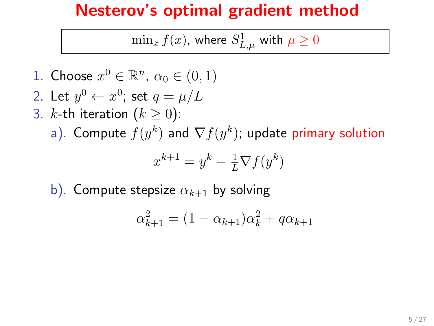$\min_x f(x)$ , where  $S_{L,\mu}^1$  with  $\mu\geq 0$ 

1. Choose 
$$
x^0 \in \mathbb{R}^n
$$
,  $\alpha_0 \in (0, 1)$ 

2. Let 
$$
y^0 \leftarrow x^0
$$
; set  $q = \mu/L$ 

3. *k*-th iteration 
$$
(k \ge 0)
$$
:

a). Compute  $f(y^k)$  and  $\nabla f(y^k)$ ; update primary solution

$$
x^{k+1} = y^k - \frac{1}{L}\nabla f(y^k)
$$

b). Compute stepsize  $\alpha_{k+1}$  by solving

$$
\alpha_{k+1}^2 = (1 - \alpha_{k+1})\alpha_k^2 + q\alpha_{k+1}
$$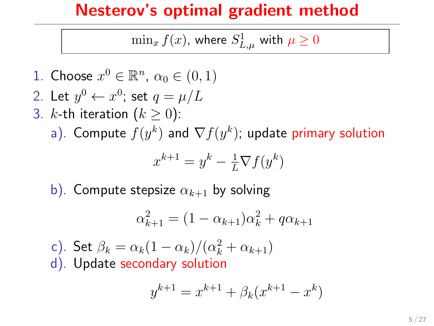$\min_x f(x)$ , where  $S_{L,\mu}^1$  with  $\mu\geq 0$ 

1. Choose 
$$
x^0 \in \mathbb{R}^n
$$
,  $\alpha_0 \in (0,1)$ 

2. Let 
$$
y^0 \leftarrow x^0
$$
; set  $q = \mu/L$ 

- 3. k-th iteration  $(k \geq 0)$ :
	- a). Compute  $f(y^k)$  and  $\nabla f(y^k)$ ; update primary solution

$$
x^{k+1} = y^k - \frac{1}{L}\nabla f(y^k)
$$

b). Compute stepsize  $\alpha_{k+1}$  by solving

$$
\alpha_{k+1}^2 = (1 - \alpha_{k+1})\alpha_k^2 + q\alpha_{k+1}
$$

c). Set  $\beta_k = \alpha_k(1-\alpha_k)/(\alpha_k^2+\alpha_{k+1})$ d). Update secondary solution

$$
y^{k+1} = x^{k+1} + \beta_k (x^{k+1} - x^k)
$$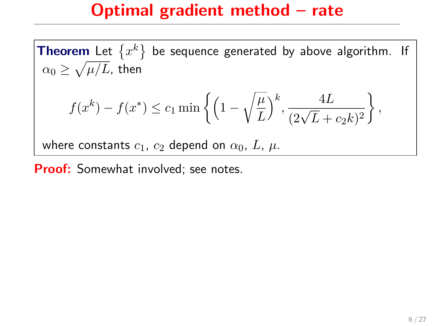#### Optimal gradient method – rate

**Theorem** Let  $\{x^k\}$  be sequence generated by above algorithm. If  $\alpha_0 \geq \sqrt{\mu/L}$ , then

$$
f(x^k) - f(x^*) \le c_1 \min \left\{ \left( 1 - \sqrt{\frac{\mu}{L}} \right)^k, \frac{4L}{(2\sqrt{L} + c_2k)^2} \right\},\,
$$

where constants  $c_1$ ,  $c_2$  depend on  $\alpha_0$ , L,  $\mu$ .

**Proof:** Somewhat involved; see notes.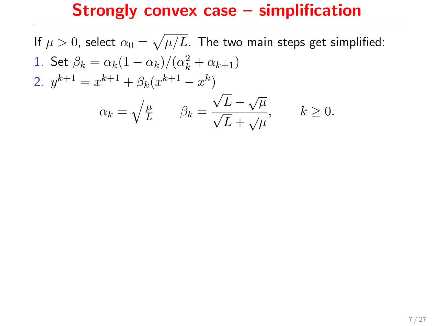If  $\mu>0$ , select  $\alpha_0=\sqrt{\mu/L}.$  The two main steps get simplified: 1. Set  $\beta_k = \alpha_k(1-\alpha_k)/(\alpha_k^2 + \alpha_{k+1})$ 2.  $y^{k+1} = x^{k+1} + \beta_k (x^{k+1} - x^k)$  $\alpha_k = \sqrt{\frac{\mu}{L}} \qquad \beta_k =$ √  $\sqrt{L} - \sqrt{\mu}$  $\frac{\overline{L}}{L} + \sqrt{\mu}$ ,  $k \geq 0$ .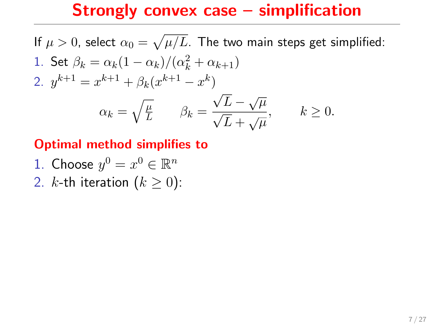If  $\mu>0$ , select  $\alpha_0=\sqrt{\mu/L}.$  The two main steps get simplified: 1. Set  $\beta_k = \alpha_k(1-\alpha_k)/(\alpha_k^2 + \alpha_{k+1})$ 2.  $y^{k+1} = x^{k+1} + \beta_k (x^{k+1} - x^k)$  $\alpha_k = \sqrt{\frac{\mu}{L}} \qquad \beta_k =$ √  $\sqrt{L} - \sqrt{\mu}$  $\frac{\overline{L}}{L} + \sqrt{\mu}$ ,  $k \geq 0$ .

#### Optimal method simplifies to

- 1. Choose  $y^0 = x^0 \in \mathbb{R}^n$
- 2. k-th iteration  $(k > 0)$ :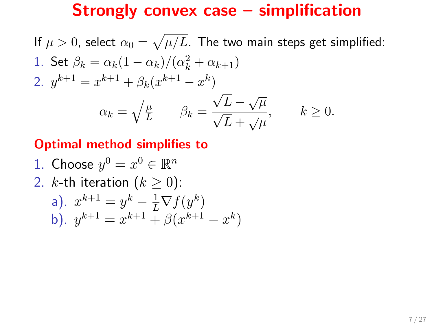If  $\mu>0$ , select  $\alpha_0=\sqrt{\mu/L}.$  The two main steps get simplified: 1. Set  $\beta_k = \alpha_k(1-\alpha_k)/(\alpha_k^2 + \alpha_{k+1})$ 2.  $y^{k+1} = x^{k+1} + \beta_k (x^{k+1} - x^k)$  $\alpha_k = \sqrt{\frac{\mu}{L}} \qquad \beta_k =$ √  $\sqrt{L} - \sqrt{\mu}$  $\frac{\overline{L}}{L} + \sqrt{\mu}$ ,  $k \geq 0$ .

#### Optimal method simplifies to

1. Choose 
$$
y^0 = x^0 \in \mathbb{R}^n
$$
  
\n2. *k*-th iteration  $(k \ge 0)$ :  
\na).  $x^{k+1} = y^k - \frac{1}{L} \nabla f(y^k)$   
\nb).  $y^{k+1} = x^{k+1} + \beta(x^{k+1} - x^k)$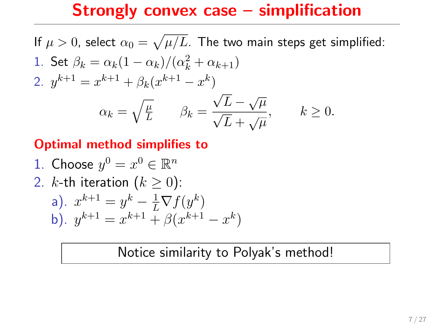If  $\mu>0$ , select  $\alpha_0=\sqrt{\mu/L}.$  The two main steps get simplified: 1. Set  $\beta_k = \alpha_k(1-\alpha_k)/(\alpha_k^2 + \alpha_{k+1})$ 2.  $y^{k+1} = x^{k+1} + \beta_k (x^{k+1} - x^k)$  $\alpha_k = \sqrt{\frac{\mu}{L}} \qquad \beta_k =$ √  $\sqrt{L} - \sqrt{\mu}$  $\frac{\overline{L}}{L} + \sqrt{\mu}$ ,  $k \geq 0$ .

#### Optimal method simplifies to

1. Choose 
$$
y^0 = x^0 \in \mathbb{R}^n
$$
  
\n2. *k*-th iteration  $(k \ge 0)$ :  
\na).  $x^{k+1} = y^k - \frac{1}{L} \nabla f(y^k)$   
\nb).  $y^{k+1} = x^{k+1} + \beta(x^{k+1} - x^k)$ 

#### Notice similarity to Polyak's method!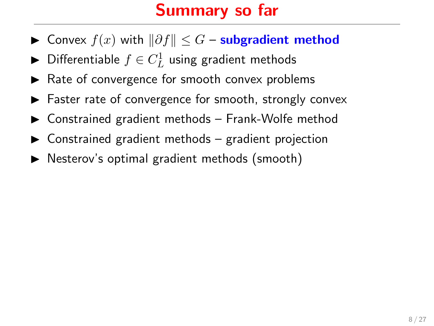# Summary so far

- ► Convex  $f(x)$  with  $\|\partial f\| \leq G$  subgradient method
- $\blacktriangleright$  Differentiable  $f \in C^1_L$  using gradient methods
- $\blacktriangleright$  Rate of convergence for smooth convex problems
- $\blacktriangleright$  Faster rate of convergence for smooth, strongly convex
- $\triangleright$  Constrained gradient methods Frank-Wolfe method
- $\triangleright$  Constrained gradient methods gradient projection
- $\triangleright$  Nesterov's optimal gradient methods (smooth)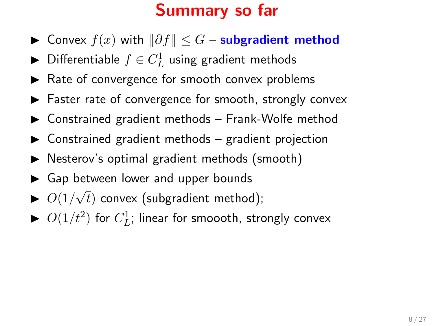# Summary so far

- ► Convex  $f(x)$  with  $\|\partial f\| \leq G$  subgradient method
- $\blacktriangleright$  Differentiable  $f \in C^1_L$  using gradient methods
- $\blacktriangleright$  Rate of convergence for smooth convex problems
- $\blacktriangleright$  Faster rate of convergence for smooth, strongly convex
- $\triangleright$  Constrained gradient methods Frank-Wolfe method
- $\triangleright$  Constrained gradient methods gradient projection
- $\triangleright$  Nesterov's optimal gradient methods (smooth)
- Gap between lower and upper bounds
- $\triangleright$  O(1/ $\sqrt$  $\tau(t)$  convex (subgradient method);
- $\blacktriangleright$   $O(1/t^2)$  for  $C_L^1$ ; linear for smoooth, strongly convex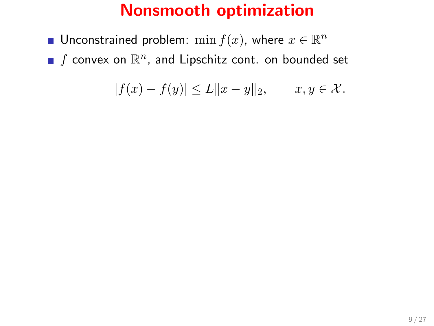- Unconstrained problem:  $\min f(x)$ , where  $x \in \mathbb{R}^n$
- $f$  convex on  $\mathbb{R}^n$ , and Lipschitz cont. on bounded set

$$
|f(x) - f(y)| \le L||x - y||_2, \qquad x, y \in \mathcal{X}.
$$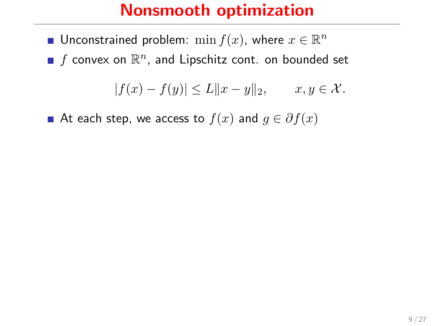- Unconstrained problem:  $\min f(x)$ , where  $x \in \mathbb{R}^n$
- $f$  convex on  $\mathbb{R}^n$ , and Lipschitz cont. on bounded set

$$
|f(x) - f(y)| \le L \|x - y\|_2, \qquad x, y \in \mathcal{X}.
$$

At each step, we access to  $f(x)$  and  $g \in \partial f(x)$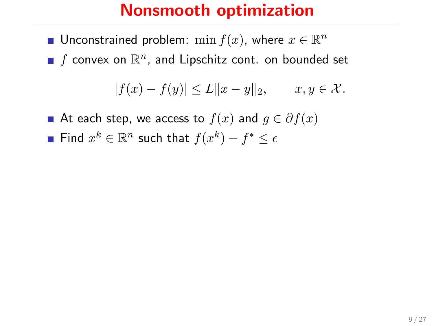- Unconstrained problem:  $\min f(x)$ , where  $x \in \mathbb{R}^n$
- $f$  convex on  $\mathbb{R}^n$ , and Lipschitz cont. on bounded set

$$
|f(x) - f(y)| \le L||x - y||_2, \qquad x, y \in \mathcal{X}.
$$

- At each step, we access to  $f(x)$  and  $g \in \partial f(x)$
- Find  $x^k \in \mathbb{R}^n$  such that  $f(x^k) f^* \leq \epsilon$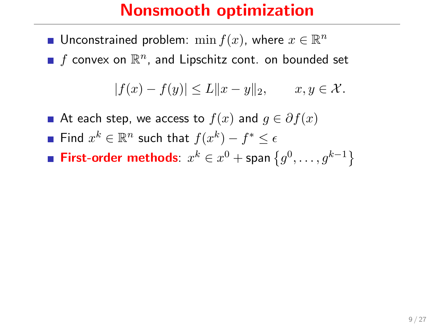- Unconstrained problem:  $\min f(x)$ , where  $x \in \mathbb{R}^n$
- $f$  convex on  $\mathbb{R}^n$ , and Lipschitz cont. on bounded set

$$
|f(x) - f(y)| \le L||x - y||_2, \qquad x, y \in \mathcal{X}.
$$

- At each step, we access to  $f(x)$  and  $g \in \partial f(x)$
- Find  $x^k \in \mathbb{R}^n$  such that  $f(x^k) f^* \leq \epsilon$
- **First-order methods**:  $x^k \in x^0 +$  span  $\{g^0, \ldots, g^{k-1}\}$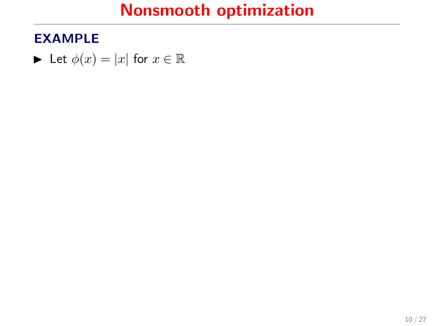#### EXAMPLE

 $\blacktriangleright$  Let  $\phi(x) = |x|$  for  $x \in \mathbb{R}$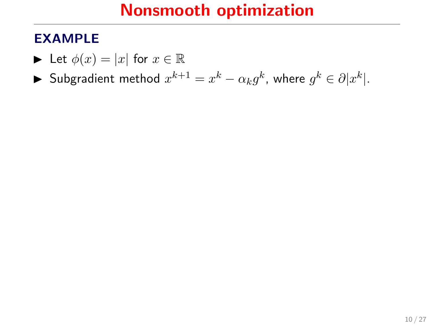- $\blacktriangleright$  Let  $\phi(x) = |x|$  for  $x \in \mathbb{R}$
- ► Subgradient method  $x^{k+1} = x^k \alpha_k g^k$ , where  $g^k \in \partial |x^k|$ .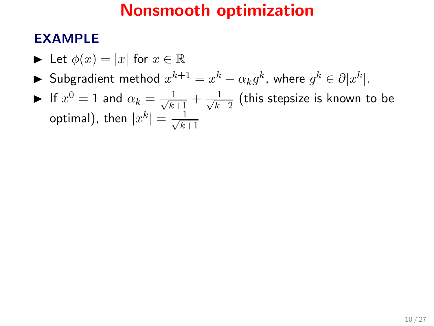- $\blacktriangleright$  Let  $\phi(x) = |x|$  for  $x \in \mathbb{R}$
- ► Subgradient method  $x^{k+1} = x^k \alpha_k g^k$ , where  $g^k \in \partial |x^k|$ .
- $\blacktriangleright$  If  $x^0=1$  and  $\alpha_k=\frac{1}{\sqrt{k+1}}+\frac{1}{\sqrt{k+2}}$  (this stepsize is known to be optimal), then  $|x^k| = \frac{1}{\sqrt{k}}$  $k+1$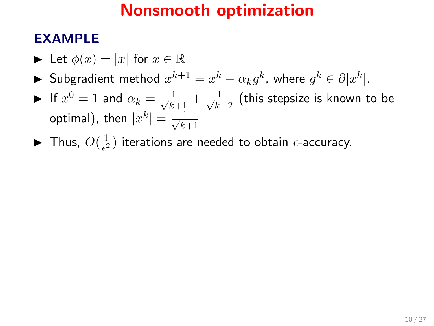- $\blacktriangleright$  Let  $\phi(x) = |x|$  for  $x \in \mathbb{R}$
- ► Subgradient method  $x^{k+1} = x^k \alpha_k g^k$ , where  $g^k \in \partial |x^k|$ .
- $\blacktriangleright$  If  $x^0=1$  and  $\alpha_k=\frac{1}{\sqrt{k+1}}+\frac{1}{\sqrt{k+2}}$  (this stepsize is known to be optimal), then  $|x^k| = \frac{1}{\sqrt{k}}$  $k+1$
- $\blacktriangleright$  Thus,  $O(\frac{1}{\epsilon^2})$  $\frac{1}{\epsilon^2}$ ) iterations are needed to obtain  $\epsilon$ -accuracy.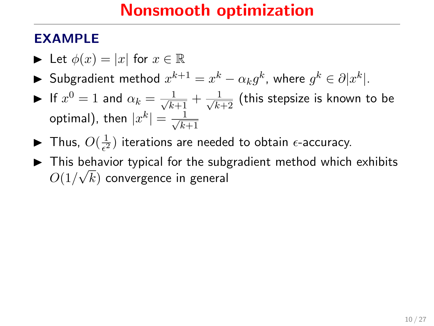- $\blacktriangleright$  Let  $\phi(x) = |x|$  for  $x \in \mathbb{R}$
- ► Subgradient method  $x^{k+1} = x^k \alpha_k g^k$ , where  $g^k \in \partial |x^k|$ .
- $\blacktriangleright$  If  $x^0=1$  and  $\alpha_k=\frac{1}{\sqrt{k+1}}+\frac{1}{\sqrt{k+2}}$  (this stepsize is known to be optimal), then  $|x^k| = \frac{1}{\sqrt{k}}$  $k+1$
- $\blacktriangleright$  Thus,  $O(\frac{1}{\epsilon^2})$  $\frac{1}{\epsilon^2}$ ) iterations are needed to obtain  $\epsilon$ -accuracy.
- ► This behavior typical for the subgradient method which exhibits  $O(1/\sqrt{k})$  convergence in general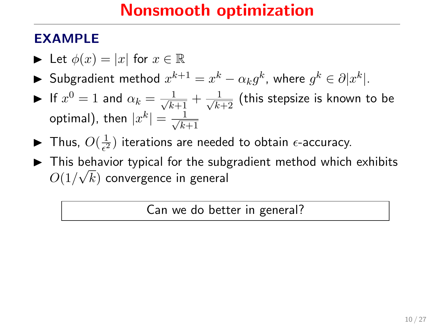#### EXAMPLE

- $\blacktriangleright$  Let  $\phi(x) = |x|$  for  $x \in \mathbb{R}$
- ► Subgradient method  $x^{k+1} = x^k \alpha_k g^k$ , where  $g^k \in \partial |x^k|$ .
- $\blacktriangleright$  If  $x^0=1$  and  $\alpha_k=\frac{1}{\sqrt{k+1}}+\frac{1}{\sqrt{k+2}}$  (this stepsize is known to be optimal), then  $|x^k| = \frac{1}{\sqrt{k}}$  $k+1$
- $\blacktriangleright$  Thus,  $O(\frac{1}{\epsilon^2})$  $\frac{1}{\epsilon^2}$ ) iterations are needed to obtain  $\epsilon$ -accuracy.
- ► This behavior typical for the subgradient method which exhibits  $O(1/\sqrt{k})$  convergence in general

Can we do better in general?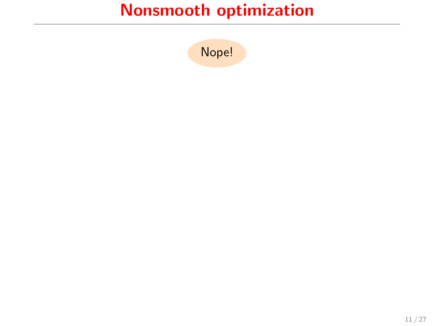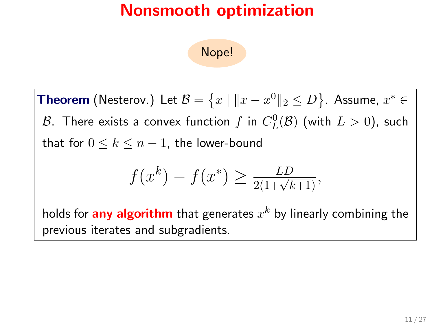Nope!

<code>Theorem</code> (Nesterov.) Let  $\mathcal{B} = \left\{ x \mid \|x - x^0\|_2 \leq D \right\}$ . Assume,  $x^* \in$  $\mathcal B$ . There exists a convex function  $f$  in  $C_L^0(\mathcal B)$  (with  $L>0)$ , such that for  $0 \leq k \leq n-1$ , the lower-bound

$$
f(x^k) - f(x^*) \ge \frac{LD}{2(1 + \sqrt{k+1})},
$$

holds for  $\mathop{{\sf any}}$  algorithm that generates  $x^k$  by linearly combining the previous iterates and subgradients.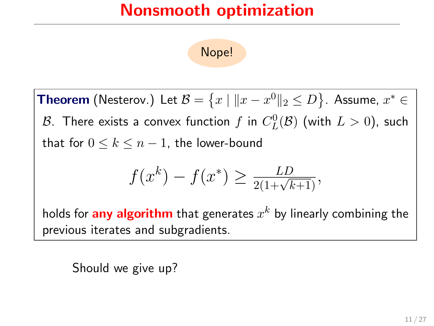Nope!

<code>Theorem</code> (Nesterov.) Let  $\mathcal{B} = \left\{ x \mid \|x - x^0\|_2 \leq D \right\}$ . Assume,  $x^* \in$  $\mathcal B$ . There exists a convex function  $f$  in  $C_L^0(\mathcal B)$  (with  $L>0)$ , such that for  $0 \leq k \leq n-1$ , the lower-bound

$$
f(x^k) - f(x^*) \ge \frac{LD}{2(1 + \sqrt{k+1})},
$$

holds for  $\mathop{{\sf any}}$  algorithm that generates  $x^k$  by linearly combining the previous iterates and subgradients.

Should we give up?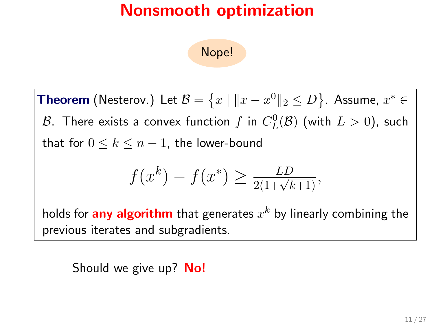Nope!

<code>Theorem</code> (Nesterov.) Let  $\mathcal{B} = \left\{ x \mid \|x - x^0\|_2 \leq D \right\}$ . Assume,  $x^* \in$  $\mathcal B$ . There exists a convex function  $f$  in  $C_L^0(\mathcal B)$  (with  $L>0)$ , such that for  $0 \leq k \leq n-1$ , the lower-bound

$$
f(x^k) - f(x^*) \ge \frac{LD}{2(1 + \sqrt{k+1})},
$$

holds for  $\mathop{{\sf any}}$  algorithm that generates  $x^k$  by linearly combining the previous iterates and subgradients.

Should we give up? **No!**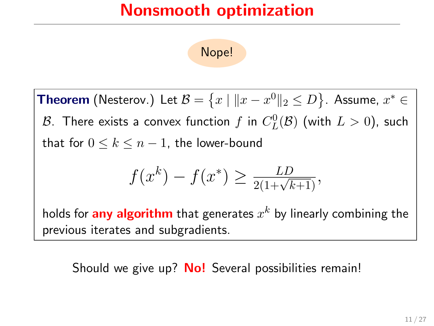Nope!

<code>Theorem</code> (Nesterov.) Let  $\mathcal{B} = \left\{ x \mid \|x - x^0\|_2 \leq D \right\}$ . Assume,  $x^* \in$  $\mathcal B$ . There exists a convex function  $f$  in  $C_L^0(\mathcal B)$  (with  $L>0)$ , such that for  $0 \leq k \leq n-1$ , the lower-bound

$$
f(x^k) - f(x^*) \ge \frac{LD}{2(1 + \sqrt{k+1})},
$$

holds for  $\mathop{{\sf any}}$  algorithm that generates  $x^k$  by linearly combining the previous iterates and subgradients.

Should we give up? **No!** Several possibilities remain!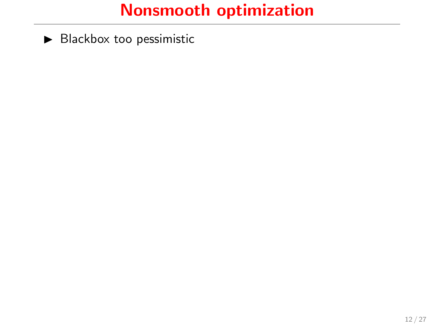$\blacktriangleright$  Blackbox too pessimistic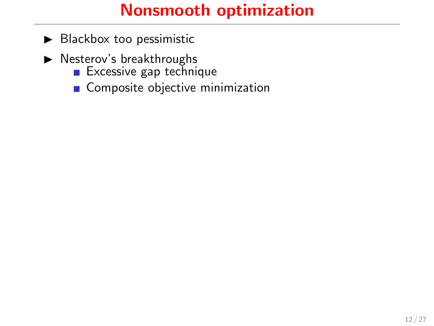- $\blacktriangleright$  Blackbox too pessimistic
- $\blacktriangleright$  Nesterov's breakthroughs
	- **Excessive gap technique**
	- Composite objective minimization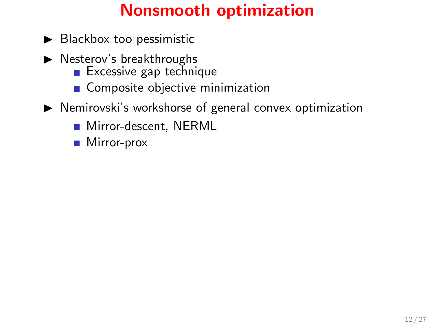## Nonsmooth optimization

- $\blacktriangleright$  Blackbox too pessimistic
- $\blacktriangleright$  Nesterov's breakthroughs
	- **Excessive gap technique**
	- Composite objective minimization
- $\triangleright$  Nemirovski's workshorse of general convex optimization
	- **Mirror-descent, NERML**
	- Mirror-prox  $\sim$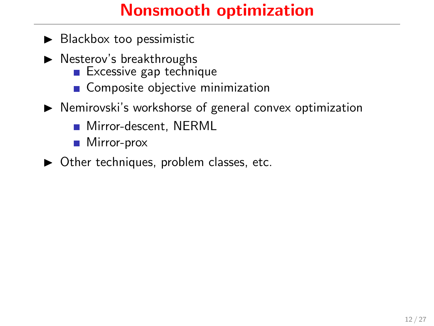## Nonsmooth optimization

- $\blacktriangleright$  Blackbox too pessimistic
- $\blacktriangleright$  Nesterov's breakthroughs
	- $\blacksquare$  Excessive gap technique
	- Composite objective minimization
- $\triangleright$  Nemirovski's workshorse of general convex optimization
	- Mirror-descent, NERML  $\sim$
	- Mirror-prox  $\mathcal{L}^{\mathcal{A}}$
- $\triangleright$  Other techniques, problem classes, etc.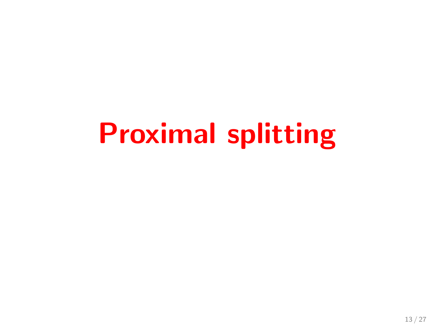## Proximal splitting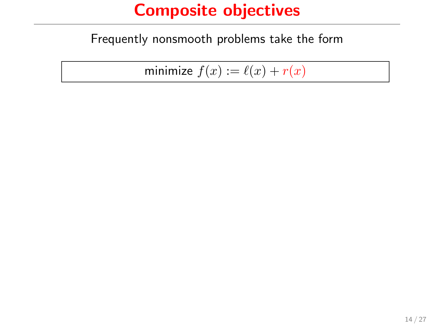Frequently nonsmooth problems take the form

minimize  $f(x) := \ell(x) + r(x)$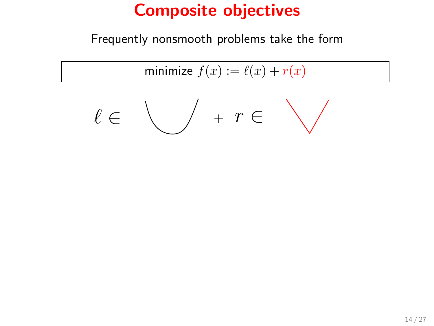Frequently nonsmooth problems take the form

$$
\text{minimize } f(x) := \ell(x) + r(x)
$$

$$
\ell \in \bigvee \quad + \quad r \in \quad \bigvee
$$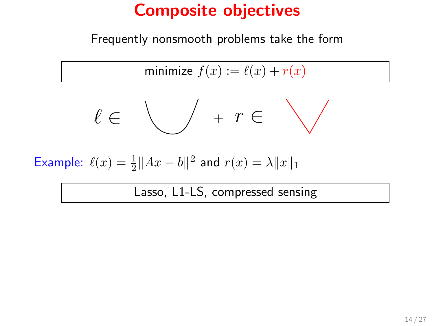Frequently nonsmooth problems take the form

$$
\text{minimize } f(x) := \ell(x) + r(x)
$$

$$
\ell \in \bigvee \quad + \quad r \in \quad \bigvee
$$

Example:  $\ell(x) = \frac{1}{2} ||Ax - b||^2$  and  $r(x) = \lambda ||x||_1$ 

Lasso, L1-LS, compressed sensing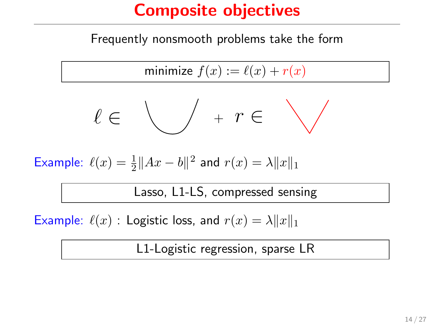Frequently nonsmooth problems take the form

$$
\text{minimize } f(x) := \ell(x) + r(x)
$$

$$
\ell\in\bigvee\quad+\,r\in\bigvee
$$

Example:  $\ell(x) = \frac{1}{2} ||Ax - b||^2$  and  $r(x) = \lambda ||x||_1$ 

Lasso, L1-LS, compressed sensing

Example:  $\ell(x)$  : Logistic loss, and  $r(x) = \lambda ||x||_1$ 

L1-Logistic regression, sparse LR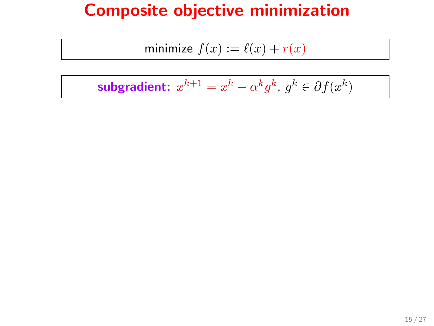#### Composite objective minimization

$$
\text{minimize } f(x) := \ell(x) + r(x)
$$

subgradient:  $x^{k+1} = x^k - \alpha^k g^k$ ,  $g^k \in \partial f(x^k)$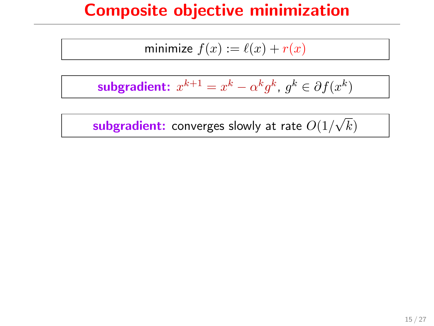#### Composite objective minimization

$$
\text{minimize } f(x) := \ell(x) + r(x)
$$

subgradient:  $x^{k+1} = x^k - \alpha^k g^k$ ,  $g^k \in \partial f(x^k)$ 

 ${\bf subgradient:}$  converges slowly at rate  $O(1/2)$ √ k)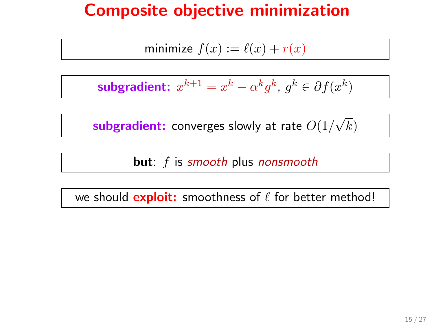#### Composite objective minimization

$$
\text{minimize } f(x) := \ell(x) + r(x)
$$

subgradient:  $x^{k+1} = x^k - \alpha^k g^k$ ,  $g^k \in \partial f(x^k)$ 

 ${\bf subgradient:}$  converges slowly at rate  $O(1/2)$ √ k)

**but**: f is smooth plus nonsmooth

we should **exploit:** smoothness of  $\ell$  for better method!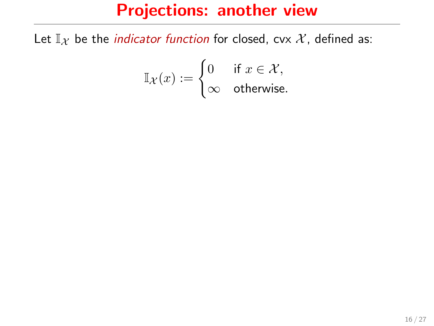#### Projections: another view

Let  $\mathbb{I}_{\mathcal{X}}$  be the *indicator function* for closed, cvx  $\mathcal{X}$ , defined as:

$$
\mathbb I_{\mathcal X}(x):=\begin{cases}0&\text{if }x\in\mathcal X,\\ \infty&\text{otherwise.}\end{cases}
$$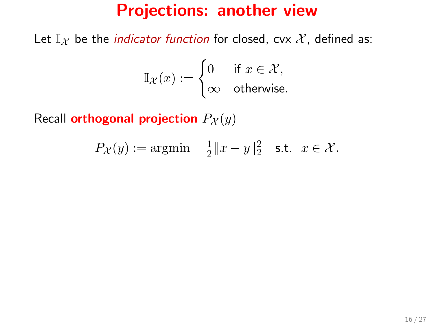#### Projections: another view

Let  $\mathbb{I}_{\mathcal{X}}$  be the *indicator function* for closed, cvx  $\mathcal{X}$ , defined as:

$$
\mathbb{I}_{\mathcal{X}}(x) := \begin{cases} 0 & \text{if } x \in \mathcal{X}, \\ \infty & \text{otherwise.} \end{cases}
$$

Recall orthogonal projection  $P_{\mathcal{X}}(y)$ 

$$
P_{\mathcal{X}}(y) := \operatorname{argmin} \quad \frac{1}{2} \|x - y\|_2^2 \quad \text{s.t.} \quad x \in \mathcal{X}.
$$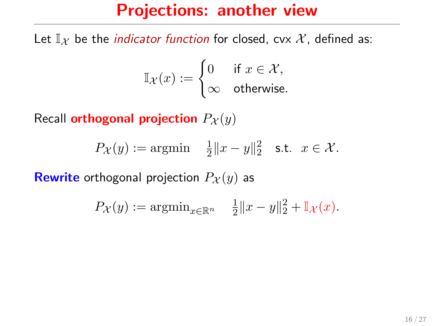#### Projections: another view

Let  $\mathbb{I}_{\mathcal{X}}$  be the *indicator function* for closed, cvx  $\mathcal{X}$ , defined as:

$$
\mathbb{I}_{\mathcal{X}}(x) := \begin{cases} 0 & \text{if } x \in \mathcal{X}, \\ \infty & \text{otherwise.} \end{cases}
$$

Recall orthogonal projection  $P_{\mathcal{X}}(y)$ 

$$
P_{\mathcal{X}}(y) := \operatorname{argmin} \quad \frac{1}{2} \|x - y\|_2^2 \quad \text{s.t.} \quad x \in \mathcal{X}.
$$

**Rewrite** orthogonal projection  $P_X(y)$  as

$$
P_{\mathcal{X}}(y) := \operatorname{argmin}_{x \in \mathbb{R}^n} \quad \frac{1}{2} \|x - y\|_2^2 + \mathbb{I}_{\mathcal{X}}(x).
$$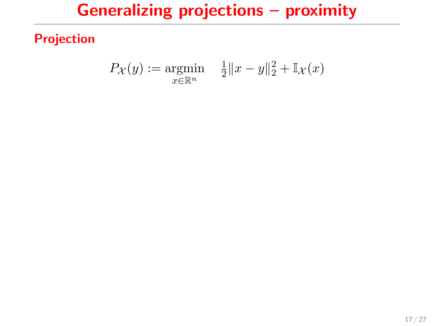## Generalizing projections – proximity

Projection

$$
P_{\mathcal{X}}(y) := \underset{x \in \mathbb{R}^n}{\text{argmin}} \quad \frac{1}{2} \|x - y\|_2^2 + \mathbb{I}_{\mathcal{X}}(x)
$$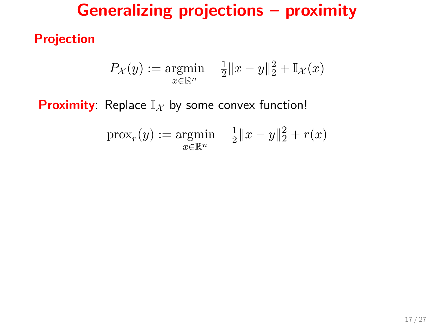## Generalizing projections – proximity

Projection

$$
P_{\mathcal{X}}(y) := \underset{x \in \mathbb{R}^n}{\text{argmin}} \quad \frac{1}{2} \|x - y\|_2^2 + \mathbb{I}_{\mathcal{X}}(x)
$$

**Proximity**: Replace  $\mathbb{I}_{\mathcal{X}}$  by some convex function!

$$
\text{prox}_{r}(y) := \underset{x \in \mathbb{R}^n}{\text{argmin}} \quad \frac{1}{2} \|x - y\|_2^2 + r(x)
$$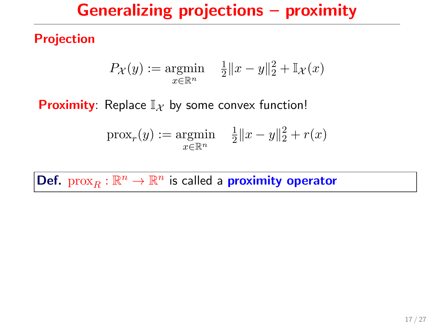## Generalizing projections – proximity

Projection

$$
P_{\mathcal{X}}(y) := \underset{x \in \mathbb{R}^n}{\text{argmin}} \quad \frac{1}{2} \|x - y\|_2^2 + \mathbb{I}_{\mathcal{X}}(x)
$$

**Proximity:** Replace  $\mathbb{I}_X$  by some convex function!

$$
\text{prox}_{r}(y) := \underset{x \in \mathbb{R}^n}{\text{argmin}} \quad \frac{1}{2} \|x - y\|_2^2 + r(x)
$$

Def.  $prox_R : \mathbb{R}^n \to \mathbb{R}^n$  is called a **proximity operator**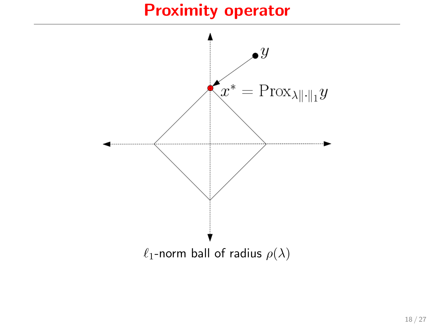#### Proximity operator

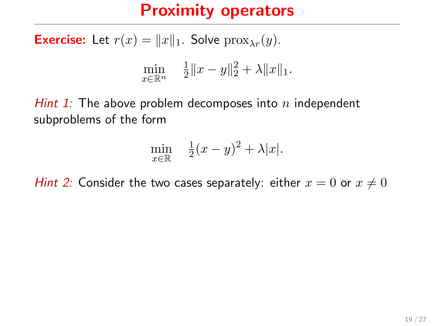#### Proximity operators

**Exercise:** Let  $r(x) = ||x||_1$ . Solve  $prox_{\lambda r}(y)$ .

$$
\min_{x \in \mathbb{R}^n} \quad \frac{1}{2} \|x - y\|_2^2 + \lambda \|x\|_1.
$$

Hint 1: The above problem decomposes into  $n$  independent subproblems of the form

$$
\min_{x \in \mathbb{R}} \quad \frac{1}{2}(x-y)^2 + \lambda |x|.
$$

Hint 2: Consider the two cases separately: either  $x = 0$  or  $x \neq 0$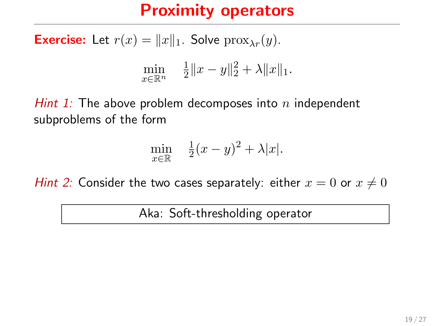## Proximity operators

**Exercise:** Let  $r(x) = ||x||_1$ . Solve  $prox_{\lambda r}(y)$ .

$$
\min_{x \in \mathbb{R}^n} \quad \frac{1}{2} \|x - y\|_2^2 + \lambda \|x\|_1.
$$

Hint 1: The above problem decomposes into  $n$  independent subproblems of the form

$$
\min_{x \in \mathbb{R}} \quad \frac{1}{2}(x-y)^2 + \lambda |x|.
$$

Hint 2: Consider the two cases separately: either  $x = 0$  or  $x \neq 0$ 

Aka: Soft-thresholding operator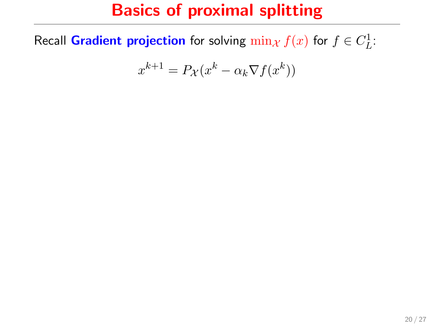## Basics of proximal splitting

Recall Gradient projection for solving  $\min_{\mathcal{X}} f(x)$  for  $f \in C^1_L$ :

$$
x^{k+1} = P_{\mathcal{X}}(x^k - \alpha_k \nabla f(x^k))
$$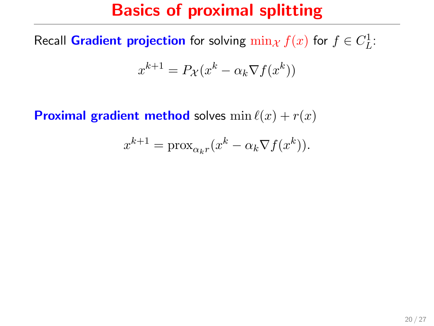## Basics of proximal splitting

Recall Gradient projection for solving  $\min_{\mathcal{X}} f(x)$  for  $f \in C^1_L$ :

$$
x^{k+1} = P_{\mathcal{X}}(x^k - \alpha_k \nabla f(x^k))
$$

**Proximal gradient method** solves  $\min \ell(x) + r(x)$ 

$$
x^{k+1} = \text{prox}_{\alpha_k r}(x^k - \alpha_k \nabla f(x^k)).
$$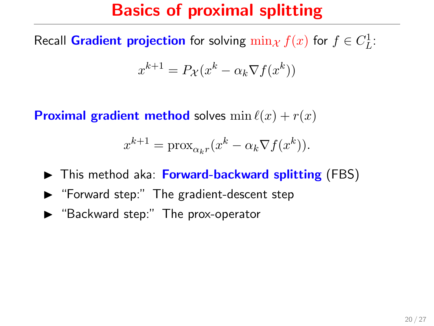## Basics of proximal splitting

Recall Gradient projection for solving  $\min_{\mathcal{X}} f(x)$  for  $f \in C^1_L$ :

$$
x^{k+1} = P_{\mathcal{X}}(x^k - \alpha_k \nabla f(x^k))
$$

**Proximal gradient method** solves  $\min \ell(x) + r(x)$ 

$$
x^{k+1} = \text{prox}_{\alpha_k r} (x^k - \alpha_k \nabla f(x^k)).
$$

- $\triangleright$  This method aka: Forward-backward splitting (FBS)
- $\blacktriangleright$  "Forward step:" The gradient-descent step
- $\blacktriangleright$  "Backward step:" The prox-operator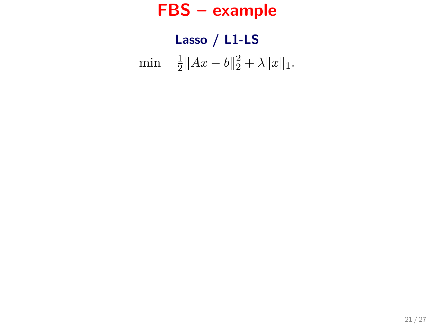#### FBS – example

## Lasso / L1-LS min  $\frac{1}{2} ||Ax - b||_2^2 + \lambda ||x||_1.$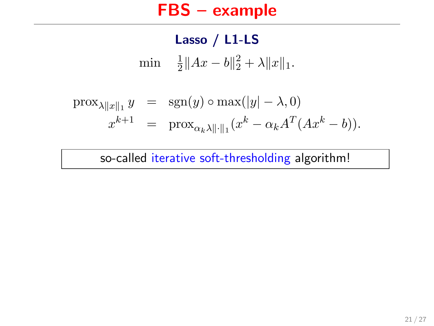#### FBS – example

Lasso / L1-LS min <sup>1</sup>  $\frac{1}{2}||Ax-b||_2^2 + \lambda ||x||_1.$ 

$$
\begin{array}{rcl}\n\text{prox}_{\lambda \|x\|_1} y & = & \text{sgn}(y) \circ \max(|y| - \lambda, 0) \\
x^{k+1} & = & \text{prox}_{\alpha_k \lambda \| \cdot \|_1} (x^k - \alpha_k A^T (Ax^k - b)).\n\end{array}
$$

so-called iterative soft-thresholding algorithm!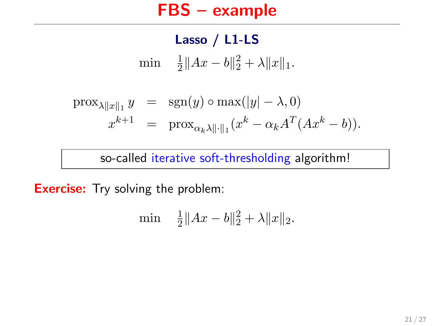#### FBS – example

Lasso / L1-LS min  $\frac{1}{2} ||Ax - b||_2^2 + \lambda ||x||_1.$ 

$$
\begin{array}{rcl}\n\text{prox}_{\lambda \|x\|_1} y & = & \text{sgn}(y) \circ \max(|y| - \lambda, 0) \\
x^{k+1} & = & \text{prox}_{\alpha_k \lambda \| \cdot \|_1} (x^k - \alpha_k A^T (Ax^k - b)).\n\end{array}
$$

so-called iterative soft-thresholding algorithm!

**Exercise:** Try solving the problem:

$$
\min \quad \frac{1}{2} \|Ax - b\|_2^2 + \lambda \|x\|_2.
$$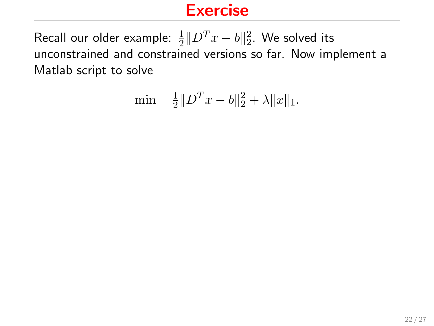$$
\min \quad \frac{1}{2} \| D^T x - b \|^2_2 + \lambda \| x \|_1.
$$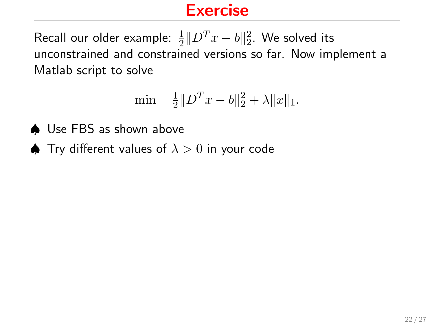$$
\min \quad \frac{1}{2} \| D^T x - b \|^2_2 + \lambda \| x \|_1.
$$

- ♠ Use FBS as shown above
- $\spadesuit$  Try different values of  $\lambda > 0$  in your code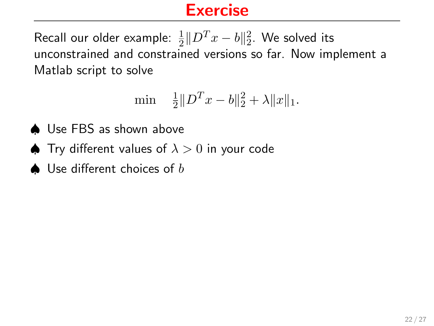$$
\min \quad \frac{1}{2} \| D^T x - b \|^2_2 + \lambda \| x \|_1.
$$

- ♠ Use FBS as shown above
- $\spadesuit$  Try different values of  $\lambda > 0$  in your code
- $\triangle$  Use different choices of b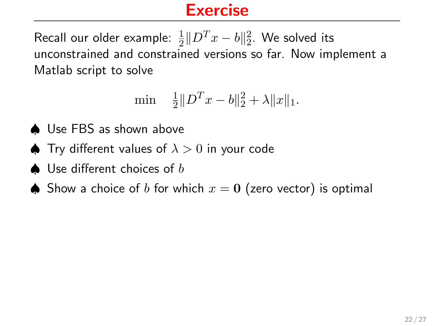$$
\min \quad \frac{1}{2} \| D^T x - b \|^2_2 + \lambda \| x \|_1.
$$

- ♠ Use FBS as shown above
- $\spadesuit$  Try different values of  $\lambda > 0$  in your code
- $\triangle$  Use different choices of b
- **▲** Show a choice of b for which  $x = 0$  (zero vector) is optimal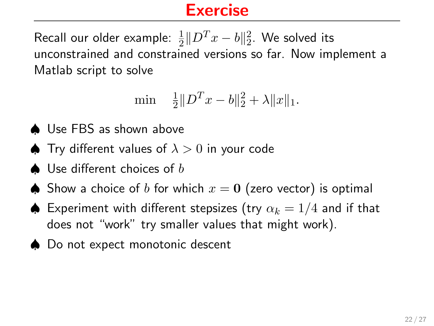$$
\min \quad \frac{1}{2} \| D^T x - b \|^2_2 + \lambda \| x \|_1.
$$

- ♠ Use FBS as shown above
- $\blacktriangle$  Trv different values of  $\lambda > 0$  in your code
- $\triangle$  Use different choices of b
- **▲** Show a choice of b for which  $x = 0$  (zero vector) is optimal
- $\triangle$  Experiment with different stepsizes (try  $\alpha_k = 1/4$  and if that does not "work" try smaller values that might work).
- ♠ Do not expect monotonic descent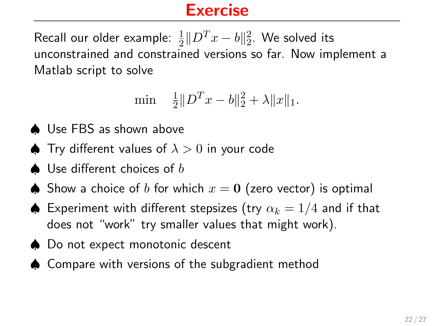$$
\min \quad \frac{1}{2} \| D^T x - b \|^2_2 + \lambda \| x \|_1.
$$

- ♠ Use FBS as shown above
- $\spadesuit$  Try different values of  $\lambda > 0$  in your code
- $\triangle$  Use different choices of b
- **▲** Show a choice of b for which  $x = 0$  (zero vector) is optimal
- $\triangle$  Experiment with different stepsizes (try  $\alpha_k = 1/4$  and if that does not "work" try smaller values that might work).
- ♠ Do not expect monotonic descent
- ♠ Compare with versions of the subgradient method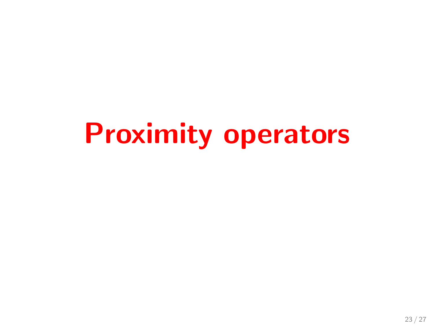# Proximity operators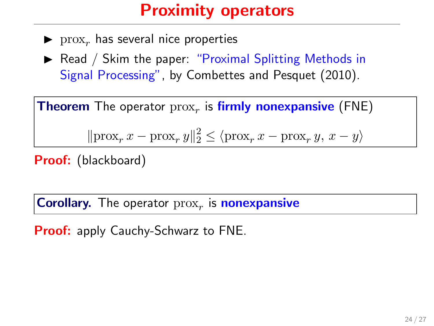## Proximity operators

- $\blacktriangleright$  prox<sub>r</sub> has several nice properties
- $\triangleright$  Read / Skim the paper: "Proximal Splitting Methods in Signal Processing", by Combettes and Pesquet (2010).

**Theorem** The operator  $prox<sub>r</sub>$  is firmly nonexpansive (FNE)

 $\|\text{prox}_r x - \text{prox}_r y\|_2^2 \le \langle \text{prox}_r x - \text{prox}_r y, x - y \rangle$ 

Proof: (blackboard)

**Corollary.** The operator  $prox<sub>r</sub>$  is **nonexpansive** 

**Proof:** apply Cauchy-Schwarz to FNE.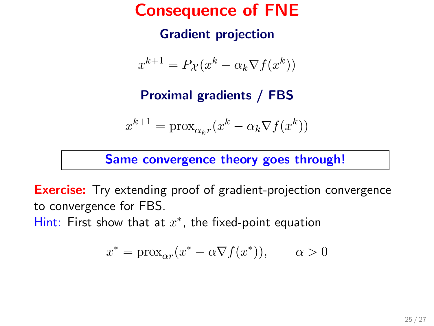#### Consequence of FNE

#### Gradient projection

$$
x^{k+1} = P_{\mathcal{X}}(x^k - \alpha_k \nabla f(x^k))
$$

Proximal gradients / FBS

$$
x^{k+1} = \text{prox}_{\alpha_k r}(x^k - \alpha_k \nabla f(x^k))
$$

Same convergence theory goes through!

**Exercise:** Try extending proof of gradient-projection convergence to convergence for FBS.

Hint: First show that at  $x^*$ , the fixed-point equation

$$
x^* = \text{prox}_{\alpha r}(x^* - \alpha \nabla f(x^*)), \qquad \alpha > 0
$$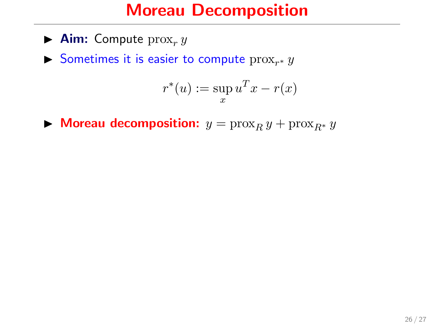#### Moreau Decomposition

- $\blacktriangleright$  **Aim:** Compute  $prox_r y$
- Sometimes it is easier to compute  $prox_{r^*} y$

$$
r^*(u) := \sup_x u^T x - r(x)
$$

 $\triangleright$  Moreau decomposition:  $y = \text{prox}_R y + \text{prox}_{R^*} y$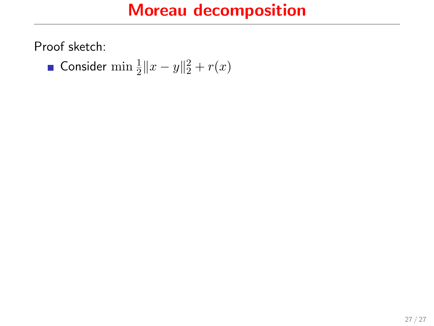## Moreau decomposition

Proof sketch:

Consider  $\min \frac{1}{2} ||x - y||_2^2 + r(x)$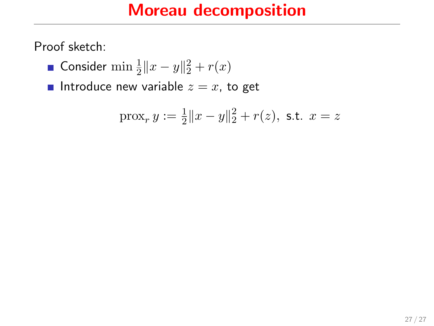## Moreau decomposition

Proof sketch:

- Consider  $\min \frac{1}{2} ||x y||_2^2 + r(x)$
- Introduce new variable  $z = x$ , to get

$$
\operatorname{prox}_r y := \frac{1}{2} \|x - y\|_2^2 + r(z), \text{ s.t. } x = z
$$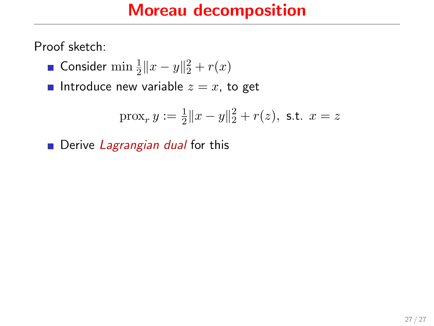## Moreau decomposition

Proof sketch:

- Consider  $\min \frac{1}{2} ||x y||_2^2 + r(x)$
- Introduce new variable  $z = x$ , to get

$$
\operatorname{prox}_r y := \frac{1}{2} \|x - y\|_2^2 + r(z), \text{ s.t. } x = z
$$

Derive Lagrangian dual for this